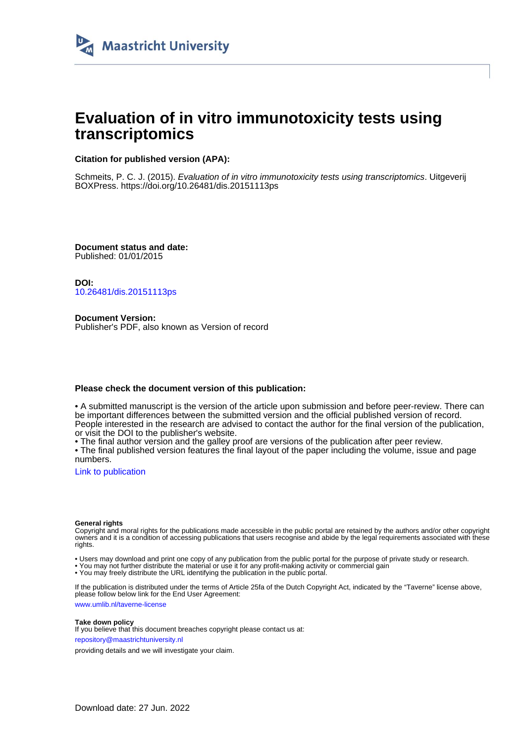

# **Evaluation of in vitro immunotoxicity tests using transcriptomics**

## **Citation for published version (APA):**

Schmeits, P. C. J. (2015). Evaluation of in vitro immunotoxicity tests using transcriptomics. Uitgeverij BOXPress.<https://doi.org/10.26481/dis.20151113ps>

**Document status and date:** Published: 01/01/2015

**DOI:** [10.26481/dis.20151113ps](https://doi.org/10.26481/dis.20151113ps)

**Document Version:** Publisher's PDF, also known as Version of record

### **Please check the document version of this publication:**

• A submitted manuscript is the version of the article upon submission and before peer-review. There can be important differences between the submitted version and the official published version of record. People interested in the research are advised to contact the author for the final version of the publication, or visit the DOI to the publisher's website.

• The final author version and the galley proof are versions of the publication after peer review.

• The final published version features the final layout of the paper including the volume, issue and page numbers.

[Link to publication](https://cris.maastrichtuniversity.nl/en/publications/8a40f12a-af34-4ef4-a989-53a47b8ba8e9)

#### **General rights**

Copyright and moral rights for the publications made accessible in the public portal are retained by the authors and/or other copyright owners and it is a condition of accessing publications that users recognise and abide by the legal requirements associated with these rights.

• Users may download and print one copy of any publication from the public portal for the purpose of private study or research.

• You may not further distribute the material or use it for any profit-making activity or commercial gain

• You may freely distribute the URL identifying the publication in the public portal.

If the publication is distributed under the terms of Article 25fa of the Dutch Copyright Act, indicated by the "Taverne" license above, please follow below link for the End User Agreement:

www.umlib.nl/taverne-license

#### **Take down policy**

If you believe that this document breaches copyright please contact us at: repository@maastrichtuniversity.nl

providing details and we will investigate your claim.